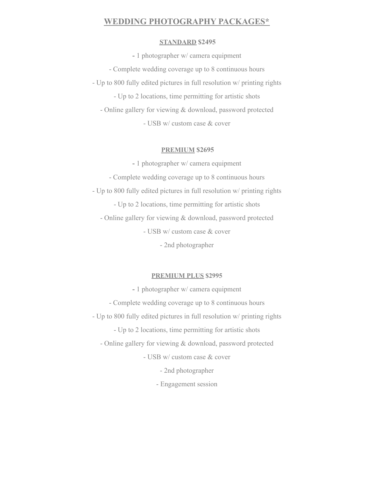# **WEDDING [PHOTOGRAPHY](https://www.proartphotovideo.com/p947993735) PACKAGES\***

#### **STANDARD \$2495**

**-** 1 photographer w/ camera equipment - Complete wedding coverage up to 8 continuous hours - Up to 800 fully edited pictures in full resolution w/ printing rights - Up to 2 locations, time permitting for artistic shots - Online gallery for viewing & download, password protected - USB w/ custom case & cover

### **PREMIUM \$2695**

**-** 1 photographer w/ camera equipment - Complete wedding coverage up to 8 continuous hours - Up to 800 fully edited pictures in full resolution w/ printing rights - Up to 2 locations, time permitting for artistic shots - Online gallery for viewing & download, password protected - USB w/ custom case & cover - 2nd photographer

# **PREMIUM PLUS \$2995**

**-** 1 photographer w/ camera equipment - Complete wedding coverage up to 8 continuous hours - Up to 800 fully edited pictures in full resolution w/ printing rights - Up to 2 locations, time permitting for artistic shots - Online gallery for viewing & download, password protected - USB w/ custom case & cover - 2nd photographer - Engagement session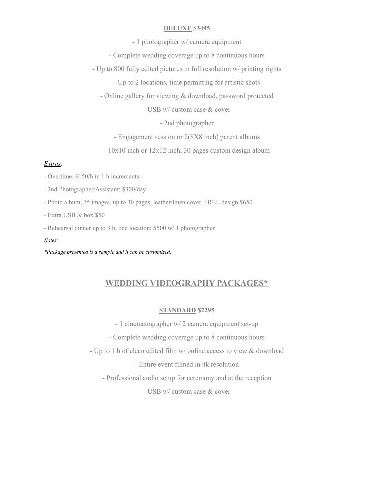## **DELUXE \$3495**

**-** 1 photographer w/ camera equipment

- Complete wedding coverage up to 8 continuous hours

- Up to 800 fully edited pictures in full resolution w/ printing rights

- Up to 2 locations, time permitting for artistic shots

- Online gallery for viewing & download, password protected

- USB w/ custom case & cover

- 2nd photographer

- Engagement session or 2(8X8 inch) parent albums

- 10x10 inch or 12x12 inch, 30 pages custom design album

#### *Extras:*

- Overtime: \$150/h in 1 h increments

- 2nd Photographer/Assistant: \$300/day

- Photo album, 75 images, up to 30 pages, leather/linen cover, FREE design \$650

- Extra USB & box \$50

- Rehearsal dinner up to 3 h, one location: \$500 w/ 1 photographer

#### *Notes:*

*\*Package presented is a sample and it can be customized.*

# **WEDDING [VIDEOGRAPHY](https://www.proartphotovideo.com/p88445856) PACKAGES\***

#### **STANDARD \$2295**

- 1 cinematographer w/ 2 camera equipment set-up

- Complete wedding coverage up to 8 continuous hours

- Up to 1 h of clean edited film w/ online access to view & download

- Entire event filmed in 4k resolution

- Professional audio setup for ceremony and at the reception

- USB w/ custom case & cover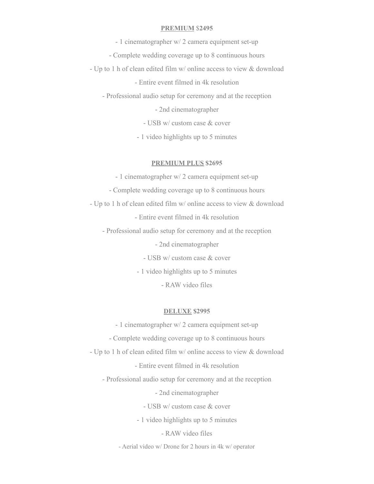## **PREMIUM** \$**2495**

- 1 cinematographer w/ 2 camera equipment set-up
- Complete wedding coverage up to 8 continuous hours
- Up to 1 h of clean edited film w/ online access to view & download
	- Entire event filmed in 4k resolution
	- Professional audio setup for ceremony and at the reception
		- 2nd cinematographer
		- USB w/ custom case & cover
		- 1 video highlights up to 5 minutes

#### **PREMIUM PLUS \$2695**

- 1 cinematographer w/ 2 camera equipment set-up
- Complete wedding coverage up to 8 continuous hours
- Up to 1 h of clean edited film w/ online access to view & download
	- Entire event filmed in 4k resolution
	- Professional audio setup for ceremony and at the reception

- 2nd cinematographer

- USB w/ custom case & cover
- 1 video highlights up to 5 minutes
	- RAW video files

### **DELUXE \$2995**

- 1 cinematographer w/ 2 camera equipment set-up
- Complete wedding coverage up to 8 continuous hours
- Up to 1 h of clean edited film w/ online access to view & download
	- Entire event filmed in 4k resolution
	- Professional audio setup for ceremony and at the reception

- 2nd cinematographer

- USB w/ custom case & cover
- 1 video highlights up to 5 minutes
	- RAW video files
- Aerial video w/ Drone for 2 hours in 4k w/ operator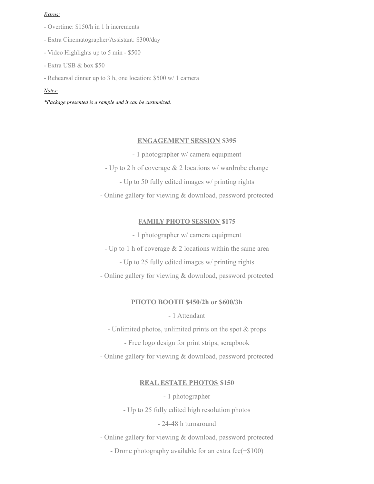#### *Extras:*

- Overtime: \$150/h in 1 h increments
- Extra Cinematographer/Assistant: \$300/day
- Video Highlights up to 5 min \$500
- Extra USB & box \$50
- Rehearsal dinner up to 3 h, one location: \$500 w/ 1 camera

#### *Notes:*

*\*Package presented is a sample and it can be customized.*

#### **[ENGAGEMENT](https://www.proartphotovideo.com/f110648205) SESSION \$395**

- 1 photographer w/ camera equipment
- Up to 2 h of coverage & 2 locations w/ wardrobe change
	- Up to 50 fully edited images w/ printing rights

- Online gallery for viewing & download, password protected

# **FAMILY PHOTO SESSION \$175**

- 1 photographer w/ camera equipment
- Up to 1 h of coverage & 2 locations within the same area
	- Up to 25 fully edited images w/ printing rights
- Online gallery for viewing & download, password protected

## **PHOTO [BOOTH](http://www.proartphotobooth.com/f508433271) \$450/2h or \$600/3h**

- 1 Attendant

- Unlimited photos, unlimited prints on the spot & props

- Free logo design for print strips, scrapbook

- Online gallery for viewing & download, password protected

# **REAL ESTATE PHOTOS \$150**

- 1 photographer

- Up to 25 fully edited high resolution photos

# - 24-48 h turnaround

- Online gallery for viewing & download, password protected

- Drone photography available for an extra fee(+\$100)